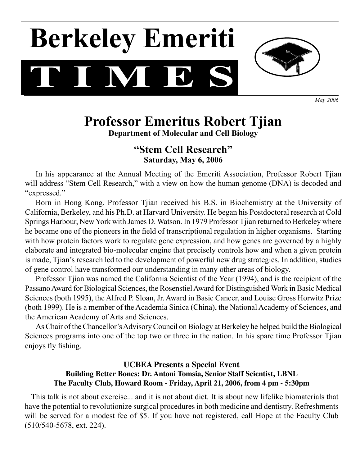# **T I M E S Berkeley Emeriti**



*May 2006*

# **Professor Emeritus Robert Tjian**

**Department of Molecular and Cell Biology**

# **"Stem Cell Research" Saturday, May 6, 2006**

 In his appearance at the Annual Meeting of the Emeriti Association, Professor Robert Tjian will address "Stem Cell Research," with a view on how the human genome (DNA) is decoded and "expressed."

 Born in Hong Kong, Professor Tjian received his B.S. in Biochemistry at the University of California, Berkeley, and his Ph.D. at Harvard University. He began his Postdoctoral research at Cold Springs Harbour, New York with James D. Watson. In 1979 Professor Tijan returned to Berkeley where he became one of the pioneers in the field of transcriptional regulation in higher organisms. Starting with how protein factors work to regulate gene expression, and how genes are governed by a highly elaborate and integrated bio-molecular engine that precisely controls how and when a given protein is made, Tjian's research led to the development of powerful new drug strategies. In addition, studies of gene control have transformed our understanding in many other areas of biology.

 Professor Tjian was named the California Scientist of the Year (1994), and is the recipient of the Passano Award for Biological Sciences, the Rosenstiel Award for Distinguished Work in Basic Medical Sciences (both 1995), the Alfred P. Sloan, Jr. Award in Basic Cancer, and Louise Gross Horwitz Prize (both 1999). He is a member of the Academia Sinica (China), the National Academy of Sciences, and the American Academy of Arts and Sciences.

As Chair of the Chancellor's Advisory Council on Biology at Berkeley he helped build the Biological Sciences programs into one of the top two or three in the nation. In his spare time Professor Tjian enjoys fly fishing.

### **UCBEA Presents a Special Event Building Better Bones: Dr. Antoni Tomsia, Senior Staff Scientist, LBNL The Faculty Club, Howard Room - Friday, April 21, 2006, from 4 pm - 5:30pm**

 This talk is not about exercise... and it is not about diet. It is about new lifelike biomaterials that have the potential to revolutionize surgical procedures in both medicine and dentistry. Refreshments will be served for a modest fee of \$5. If you have not registered, call Hope at the Faculty Club (510/540-5678, ext. 224).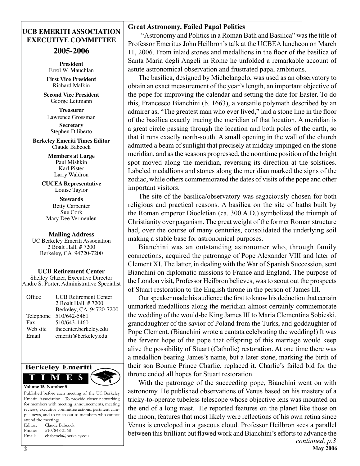## **UCB EMERITI ASSOCIATION EXECUTIVE COMMITTEE**

**2005-2006**

**President** Errol W. Mauchlan

**First Vice President** Richard Malkin

**Second Vice President** George Leitmann

**Treasurer**  Lawrence Grossman

**Secretary**  Stephen Diliberto

**Berkeley Emeriti Times Editor** Claude Babcock

> **Members at Large** Paul Mishkin Karl Pister Larry Waldron

**CUCEA Representative** Louise Taylor

**Stewards** Betty Carpenter Sue Cork Mary Dee Vermeulen

#### **Mailing Address**

UC Berkeley Emeriti Association 2 Boalt Hall, # 7200 Berkeley, CA 94720-7200

**UCB Retirement Center**

Shelley Glazer, Executive Director Andre S. Porter, Administrative Specialist

| Office    | <b>UCB Retirement Center</b> |
|-----------|------------------------------|
|           | 2 Boalt Hall, # 7200         |
|           | Berkeley, CA 94720-7200      |
| Telephone | 510/642-5461                 |
| Fax       | 510/643-1460                 |
| Web site  | thecenter.berkeley.edu       |
| Email     | emeriti@berkeley.edu         |
|           |                              |



Published before each meeting of the UC Berkeley Emeriti Association: To provide closer networking for members with meeting announcements, meeting reviews, executive committee actions, pertinent campus news, and to reach out to members who cannot attend the meetings. Editor: Claude Babcock Phone: 510/848-3368

Email: cbabcock@berkeley.edu

| <b>Great Astronomy, Failed Papal Politics</b> |  |  |  |
|-----------------------------------------------|--|--|--|
|-----------------------------------------------|--|--|--|

"Astronomy and Politics in a Roman Bath and Basilica" was the title of Professor Emeritus John Heilbron's talk at the UCBEA luncheon on March 11, 2006. From inlaid stones and medallions in the floor of the basilica of Santa Maria degli Angeli in Rome he unfolded a remarkable account of astute astronomical observation and frustrated papal ambitions.

 The basilica, designed by Michelangelo, was used as an observatory to obtain an exact measurement of the year'slength, an important objective of the pope for improving the calendar and setting the date for Easter. To do this, Francesco Bianchini (b. 1663), a versatile polymath described by an admirer as, "The greatest man who ever lived," laid a stone line in the floor of the basilica exactly tracing the meridian of that location. A meridian is a great circle passing through the location and both poles of the earth, so that it runs exactly north-south. A small opening in the wall of the church admitted a beam of sunlight that precisely at midday impinged on the stone meridian, and asthe seasons progressed, the noontime position of the bright spot moved along the meridian, reversing its direction at the solstices. Labeled medallions and stones along the meridian marked the signs of the zodiac, while others commemorated the dates of visits of the pope and other important visitors.

 The site of the basilica/observatory was sagaciously chosen for both religious and practical reasons. A basilica on the site of baths built by the Roman emperor Diocletian (ca. 300 A.D.) symbolized the triumph of Christianity over paganism. The great weight of the former Roman structure had, over the course of many centuries, consolidated the underlying soil making a stable base for astronomical purposes.

 Bianchini was an outstanding astronomer who, through family connections, acquired the patronage of Pope Alexander VIII and later of Clement XI. The latter, in dealing with the War of Spanish Succession, sent Bianchini on diplomatic missions to France and England. The purpose of the London visit, Professor Heilbron believes, wasto scout out the prospects of Stuart restoration to the English throne in the person of James III.

Our speaker made his audience the first to know his deduction that certain unmarked medallions along the meridian almost certainly commemorate the wedding of the would-be King James III to Maria Clementina Sobieski, granddaughter of the savior of Poland from the Turks, and goddaughter of Pope Clement. (Bianchini wrote a cantata celebrating the wedding!) It was the fervent hope of the pope that offspring of this marriage would keep alive the possibility of Stuart (Catholic) restoration. At one time there was a medallion bearing James's name, but a later stone, marking the birth of their son Bonnie Prince Charlie, replaced it. Charlie's failed bid for the throne ended all hopes for Stuart restoration.

 With the patronage of the succeeding pope, Bianchini went on with astronomy. He published observations of Venus based on his mastery of a tricky-to-operate tubeless telescope whose objective lens was mounted on the end of a long mast. He reported features on the planet like those on the moon, features that most likely were reflections of his own retina since Venus is enveloped in a gaseous cloud. Professor Heilbron sees a parallel between this brilliant but flawed work and Bianchini's efforts to advance the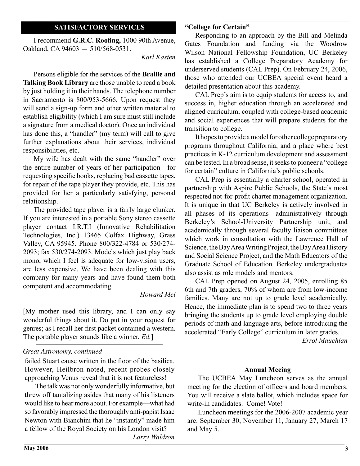#### **SATISFACTORY SERVICES**

 I recommend **G.R.C. Roofing,** 1000 90th Avenue, Oakland, CA 94603 — 510/568-0531.

*Karl Kasten*

 Persons eligible for the services of the **Braille and Talking Book Library** are those unable to read a book by just holding it in their hands. The telephone number in Sacramento is 800/953-5666. Upon request they will send a sign-up form and other written material to establish eligibility (which I am sure must still include a signature from a medical doctor). Once an individual has done this, a "handler" (my term) will call to give further explanations about their services, individual responsibilities, etc.

 My wife has dealt with the same "handler" over the entire number of years of her participation—for requesting specific books, replacing bad cassette tapes, for repair of the tape player they provide, etc. This has provided for her a particularly satisfying, personal relationship.

 The provided tape player is a fairly large clunker. If you are interested in a portable Sony stereo cassette player contact I.R.T.I (Innovative Rehabilitation Technologies, Inc.) 13465 Colfax Highway, Grass Valley, CA 95945. Phone 800/322-4784 or 530/274- 2093; fax 530/274-2093. Models which just play back mono, which I feel is adequate for low-vision users, are less expensive. We have been dealing with this company for many years and have found them both competent and accommodating.

#### *Howard Mel*

[My mother used this library, and I can only say wonderful things about it. Do put in your request for genres; as I recall her first packet contained a western. The portable player sounds like a winner. *Ed.*]

#### *Great Astronomy, continued*

failed Stuart cause written in the floor of the basilica. However, Heilbron noted, recent probes closely approaching Venus reveal that it is not featureless!

 The talk was not only wonderfully informative, but threw off tantalizing asides that many of his listeners would like to hear more about. For example—what had so favorably impressed the thoroughly anti-papist Isaac Newton with Bianchini that he "instantly" made him a fellow of the Royal Society on his London visit?

*Larry Waldron*

 Responding to an approach by the Bill and Melinda Gates Foundation and funding via the Woodrow Wilson National Fellowship Foundation, UC Berkeley has established a College Preparatory Academy for underserved students (CAL Prep). On February 24, 2006, those who attended our UCBEA special event heard a detailed presentation about this academy.

 CAL Prep's aim is to equip students for access to, and success in, higher education through an accelerated and aligned curriculum, coupled with college-based academic and social experiences that will prepare students for the transition to college.

It hopes to provide a model for other college preparatory programs throughout California, and a place where best practices in K-12 curriculum development and assessment can be tested. In a broad sense, it seeks to pioneer a "college" for certain" culture in California's public schools.

 CAL Prep is essentially a charter school, operated in partnership with Aspire Public Schools, the State's most respected not-for-profit charter management organization. It is unique in that UC Berkeley is actively involved in all phases of its operations—administratively through Berkeley's School-University Partnership unit, and academically through several faculty liaison committees which work in consultation with the Lawrence Hall of Science, the Bay Area Writing Project, the Bay Area History and Social Science Project, and the Math Educators of the Graduate School of Education. Berkeley undergraduates also assist as role models and mentors.

 CAL Prep opened on August 24, 2005, enrolling 85 6th and 7th graders, 70% of whom are from low-income families. Many are not up to grade level academically. Hence, the immediate plan is to spend two to three years bringing the students up to grade level employing double periods of math and language arts, before introducing the accelerated "Early College" curriculum in later grades.

*Errol Mauchlan*

#### **Annual Meeing**

 The UCBEA May Luncheon serves as the annual meeting for the election of officers and board members. You will receive a slate ballot, which includes space for write-in candidates. Come! Vote!

 Luncheon meetings for the 2006-2007 academic year are: September 30, November 11, January 27, March 17 and May 5.